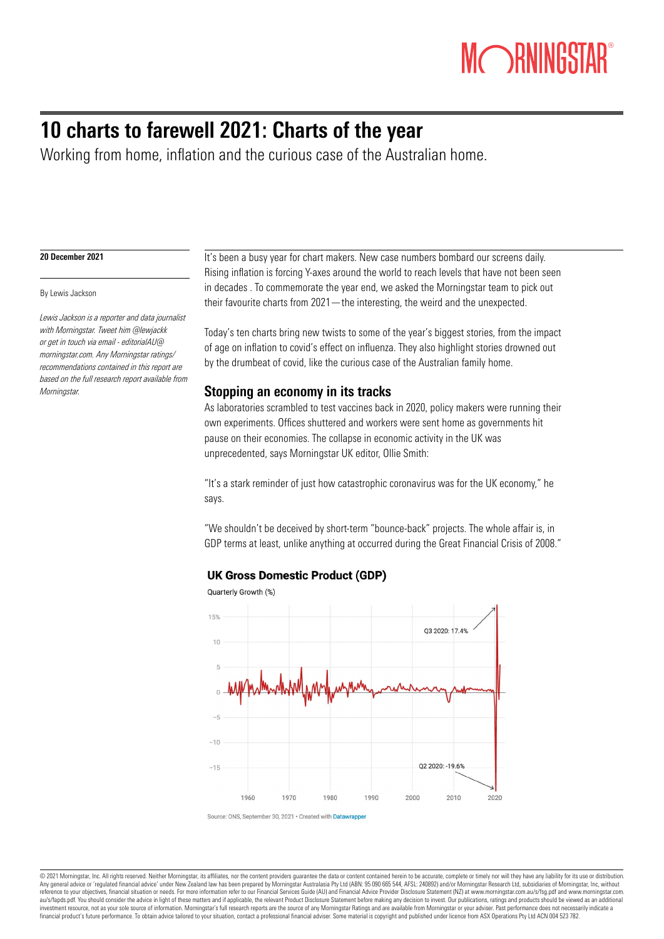# **MORNINGST**

# 10 charts to farewell 2021: Charts of the year

Working from home, inflation and the curious case of the Australian home.

#### 20 December 2021

#### By Lewis Jackson

*Lewis Jackson is a reporter and data journalist with Morningstar. Tweet him @lewjackk or get in touch via email - editorialAU@ morningstar.com. Any Morningstar ratings/ recommendations contained in this report are based on the full research report available from Morningstar.*

It's been a busy year for chart makers. New case numbers bombard our screens daily. Rising inflation is forcing Y-axes around the world to reach levels that have not been seen in decades . To commemorate the year end, we asked the Morningstar team to pick out their favourite charts from 2021—the interesting, the weird and the unexpected.

Today's ten charts bring new twists to some of the year's biggest stories, from the impact of age on inflation to covid's effect on influenza. They also highlight stories drowned out by the drumbeat of covid, like the curious case of the Australian family home.

### Stopping an economy in its tracks

As laboratories scrambled to test vaccines back in 2020, policy makers were running their own experiments. Offices shuttered and workers were sent home as governments hit pause on their economies. The collapse in economic activity in the UK was unprecedented, says Morningstar UK editor, Ollie Smith:

"It's a stark reminder of just how catastrophic coronavirus was for the UK economy," he says.

"We shouldn't be deceived by short-term "bounce-back" projects. The whole affair is, in GDP terms at least, unlike anything at occurred during the Great Financial Crisis of 2008."

#### **UK Gross Domestic Product (GDP)**





Source: ONS, September 30, 2021 · Created with Datawra

@ 2021 Morningstar, Inc. All rights reserved. Neither Morningstar, its affiliates, nor the content providers guarantee the data or content contained herein to be accurate, complete or timely nor will they have any liabilit Any general advice or 'regulated financial advice' under New Zealand law has been prepared by Morningstar Australasia Pty Ltd (ABN: 95 090 665 544, AFSL: 240892) and/or Morningstar Research Ltd, subsidiaries of Morningstar au/s/faods.pdf. You should consider the advice in light of these matters and if applicable, the relevant Product Disclosure Statement before making any decision to invest. Our publications, ratings and products should be v investment resource, not as your sole source of information. Morningstar's full research reports are the source of any Morningstar Ratings and are available from Morningstar or your adviser. Past performance does not neces financial product's future performance. To obtain advice tailored to your situation, contact a professional financial adviser. Some material is copyright and published under licence from ASX Operations Pty Ltd ACN 004 523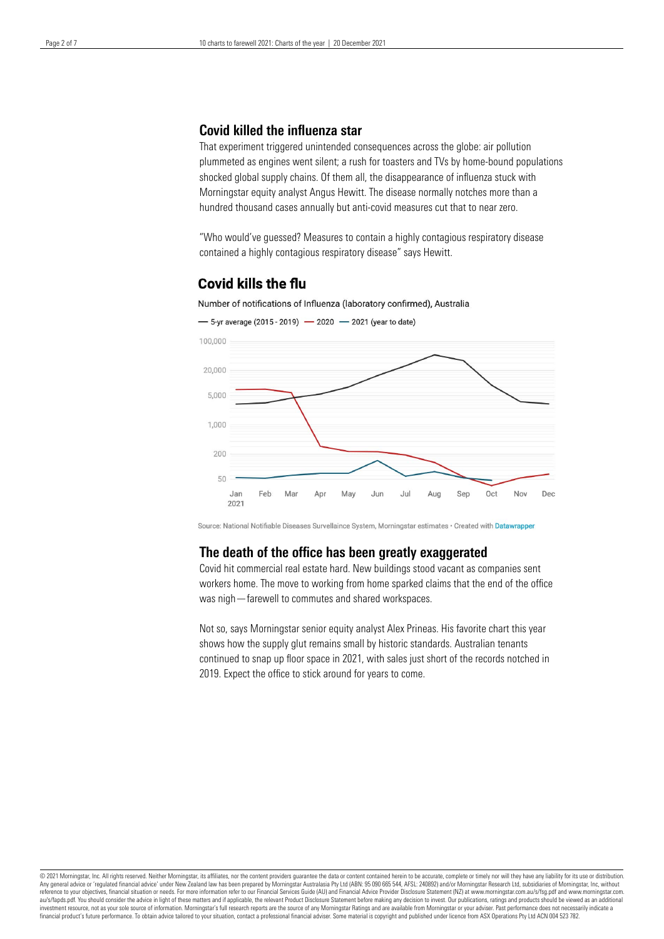## Covid killed the influenza star

That experiment triggered unintended consequences across the globe: air pollution plummeted as engines went silent; a rush for toasters and TVs by home-bound populations shocked global supply chains. Of them all, the disappearance of influenza stuck with Morningstar equity analyst Angus Hewitt. The disease normally notches more than a hundred thousand cases annually but anti-covid measures cut that to near zero.

"Who would've guessed? Measures to contain a highly contagious respiratory disease contained a highly contagious respiratory disease" says Hewitt.

## **Covid kills the flu**





- 5-yr average (2015 - 2019) - 2020 - 2021 (year to date)

Source: National Notifiable Diseases Survellaince System, Morningstar estimates · Created with Datawrapper

#### The death of the office has been greatly exaggerated

Covid hit commercial real estate hard. New buildings stood vacant as companies sent workers home. The move to working from home sparked claims that the end of the office was nigh—farewell to commutes and shared workspaces.

Not so, says Morningstar senior equity analyst Alex Prineas. His favorite chart this year shows how the supply glut remains small by historic standards. Australian tenants continued to snap up floor space in 2021, with sales just short of the records notched in 2019. Expect the office to stick around for years to come.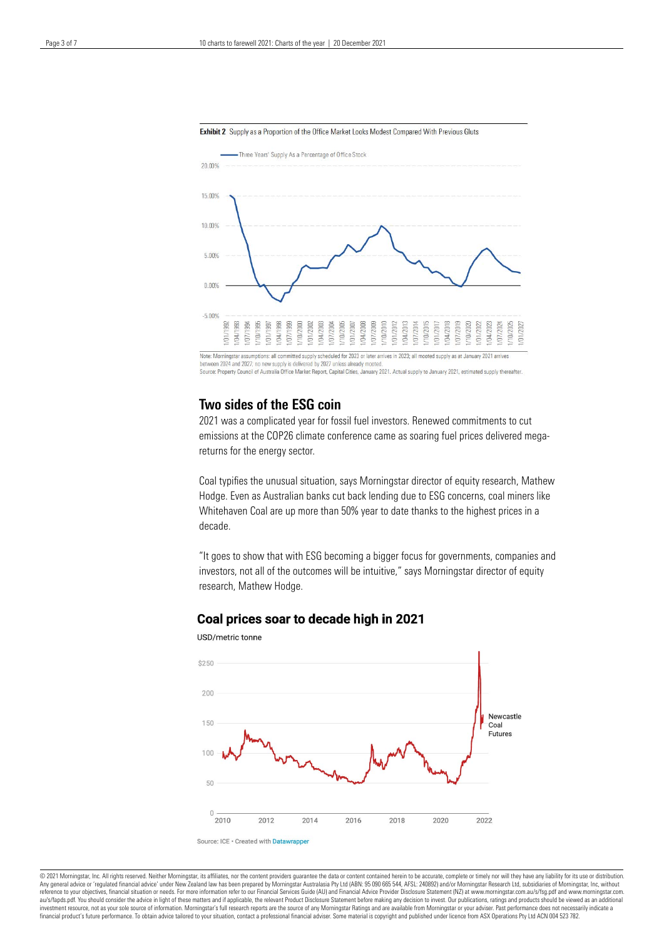



Source: Property Council of Australia Office Market Report, Capital Cities, January 2021. Actual supply to January 2021, estimated supply thereafter

#### Two sides of the ESG coin

2021 was a complicated year for fossil fuel investors. Renewed commitments to cut emissions at the COP26 climate conference came as soaring fuel prices delivered megareturns for the energy sector.

Coal typifies the unusual situation, says Morningstar director of equity research, Mathew Hodge. Even as Australian banks cut back lending due to ESG concerns, coal miners like Whitehaven Coal are up more than 50% year to date thanks to the highest prices in a decade.

"It goes to show that with ESG becoming a bigger focus for governments, companies and investors, not all of the outcomes will be intuitive," says Morningstar director of equity research, Mathew Hodge.

#### Coal prices soar to decade high in 2021



#### USD/metric tonne

@ 2021 Morningstar, Inc. All rights reserved. Neither Morningstar, its affiliates, nor the content providers guarantee the data or content contained herein to be accurate, complete or timely nor will they have any liabilit Any general advice or 'regulated financial advice' under New Zealand law has been prepared by Morningstar Australasia Pty Ltd (ABN: 95 090 665 544, AFSL: 240892) and/or Morningstar Research Ltd, subsidiaries of Morningstar au/s/faods.pdf. You should consider the advice in light of these matters and if applicable, the relevant Product Disclosure Statement before making any decision to invest. Our publications, ratings and products should be v investment resource, not as your sole source of information. Morningstar's full research reports are the source of any Morningstar Ratings and are available from Morningstar or your adviser. Past performance does not neces financial product's future performance. To obtain advice tailored to your situation, contact a professional financial adviser. Some material is copyright and published under licence from ASX Operations Pty Ltd ACN 004 523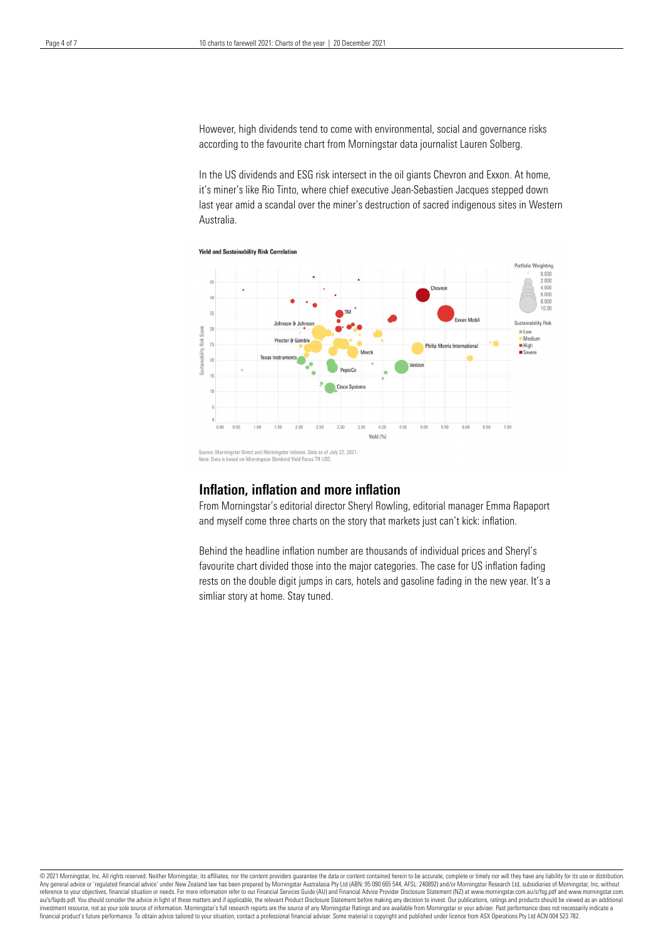However, high dividends tend to come with environmental, social and governance risks according to the favourite chart from Morningstar data journalist Lauren Solberg.

In the US dividends and ESG risk intersect in the oil giants Chevron and Exxon. At home, it's miner's like Rio Tinto, where chief executive Jean-Sebastien Jacques stepped down last year amid a scandal over the miner's destruction of sacred indigenous sites in Western Australia.





Note: Data is based on Morningstar Dividend Yield Focus TR USD.

#### Inflation, inflation and more inflation

From Morningstar's editorial director Sheryl Rowling, editorial manager Emma Rapaport and myself come three charts on the story that markets just can't kick: inflation.

Behind the headline inflation number are thousands of individual prices and Sheryl's favourite chart divided those into the major categories. The case for US inflation fading rests on the double digit jumps in cars, hotels and gasoline fading in the new year. It's a simliar story at home. Stay tuned.

@ 2021 Morningstar, Inc. All rights reserved. Neither Morningstar, its affiliates, nor the content providers guarantee the data or content contained herein to be accurate, complete or timely nor will they have any liabilit Any general advice or 'regulated financial advice' under New Zealand law has been prepared by Morningstar Australasia Pty Ltd (ABN: 95 090 665 544, AFSL: 240892) and/or Morningstar Research Ltd, subsidiaries of Morningstar au/s/fapds.pdf. You should consider the advice in light of these matters and if applicable, the relevant Product Disclosure Statement before making any decision to invest. Our publications, ratings and products should be v investment resource, not as your sole source of information. Morningstar's full research reports are the source of any Morningstar Ratings and are available from Morningstar or your adviser. Past performance does not neces financial product's future performance. To obtain advice tailored to your situation, contact a professional financial adviser. Some material is copyright and published under licence from ASX Operations Pty Ltd ACN 004 523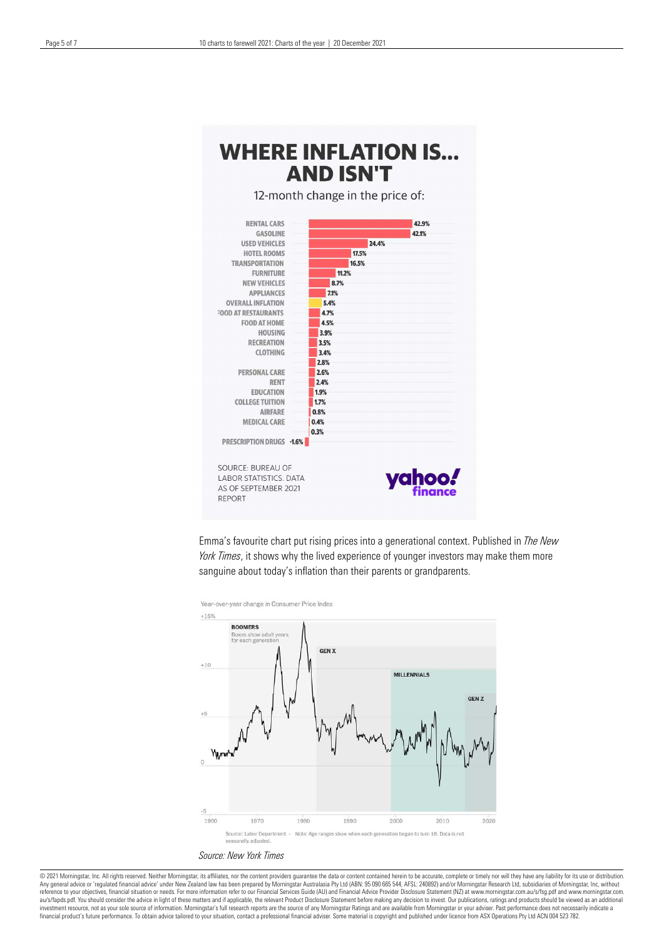# **WHERE INFLATION IS... AND ISN'T**

12-month change in the price of:



Emma's favourite chart put rising prices into a generational context. Published in *The New York Times*, it shows why the lived experience of younger investors may make them more sanguine about today's inflation than their parents or grandparents.



*Source: New York Times*

© 2021 Morningstar, Inc. All rights reserved. Neither Morningstar, its affiliates, nor the content providers guarantee the data or content contained herein to be accurate, complete or timely nor will they have any liabilit au/s/fapds.pdf. You should consider the advice in light of these matters and if applicable, the relevant Product Disclosure Statement before making any decision to invest. Our publications, ratings and products should be v investment resource, not as your sole source of information. Morningstar's full research reports are the source of any Morningstar Ratings and are available from Morningstar or your adviser. Past performance does not neces financial product's future performance. To obtain advice tailored to your situation, contact a professional financial adviser. Some material is copyright and published under licence from ASX Operations Pty Ltd ACN 004 523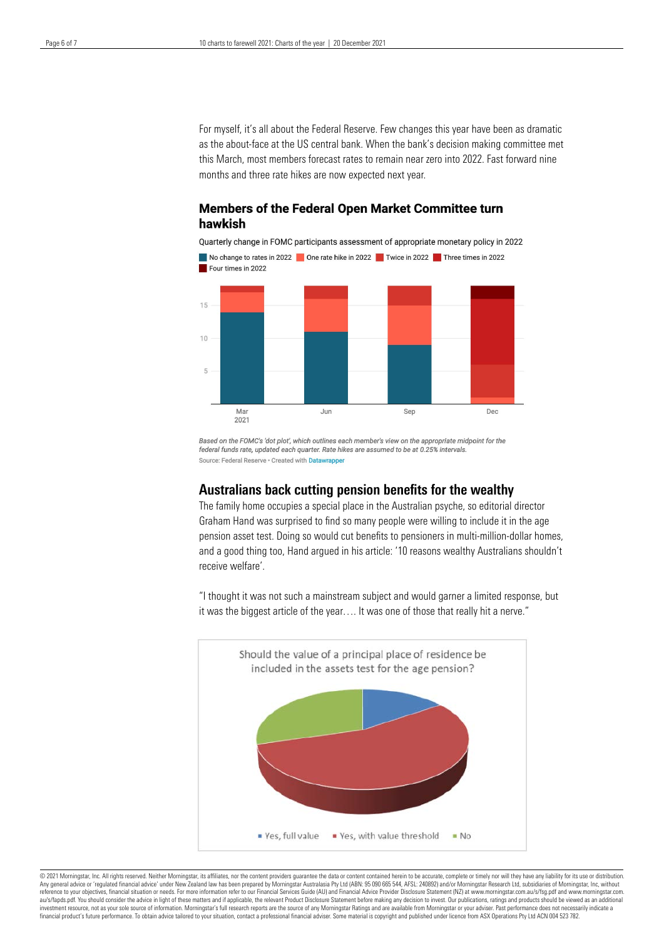For myself, it's all about the Federal Reserve. Few changes this year have been as dramatic as the about-face at the US central bank. When the bank's decision making committee met this March, most members forecast rates to remain near zero into 2022. Fast forward nine months and three rate hikes are now expected next year.

#### **Members of the Federal Open Market Committee turn** hawkish

Quarterly change in FOMC participants assessment of appropriate monetary policy in 2022



Based on the FOMC's 'dot plot', which outlines each member's view on the appropriate midpoint for the federal funds rate undated each quarter. Rate hikes are assumed to be at 0.25% intervals Source: Federal Reserve · Created with Datawrapper

#### Australians back cutting pension benefits for the wealthy

The family home occupies a special place in the Australian psyche, so editorial director Graham Hand was surprised to find so many people were willing to include it in the age pension asset test. Doing so would cut benefits to pensioners in multi-million-dollar homes, and a good thing too, Hand argued in his article: '10 reasons wealthy Australians shouldn't receive welfare'.

"I thought it was not such a mainstream subject and would garner a limited response, but it was the biggest article of the year…. It was one of those that really hit a nerve."



@ 2021 Morningstar, Inc. All rights reserved. Neither Morningstar, its affiliates, nor the content providers guarantee the data or content contained herein to be accurate, complete or timely nor will they have any liabilit Any general advice or 'regulated financial advice' under New Zealand law has been prepared by Morningstar Australasia Pty Ltd (ABN: 95 090 665 544, AFSL: 240892) and/or Morningstar Research Ltd, subsidiaries of Morningstar au/s/faods.pdf. You should consider the advice in light of these matters and if applicable, the relevant Product Disclosure Statement before making any decision to invest. Our publications, ratings and products should be v investment resource, not as your sole source of information. Morningstar's full research reports are the source of any Morningstar Ratings and are available from Morningstar or your adviser. Past performance does not neces financial product's future performance. To obtain advice tailored to your situation, contact a professional financial adviser. Some material is copyright and published under licence from ASX Operations Pty Ltd ACN 004 523